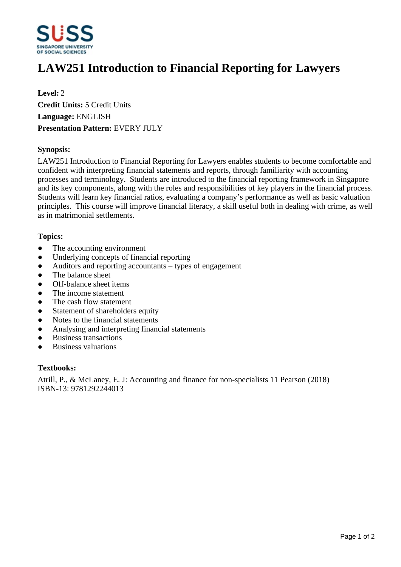

# **LAW251 Introduction to Financial Reporting for Lawyers**

**Level:** 2 **Credit Units:** 5 Credit Units **Language:** ENGLISH **Presentation Pattern:** EVERY JULY

## **Synopsis:**

LAW251 Introduction to Financial Reporting for Lawyers enables students to become comfortable and confident with interpreting financial statements and reports, through familiarity with accounting processes and terminology. Students are introduced to the financial reporting framework in Singapore and its key components, along with the roles and responsibilities of key players in the financial process. Students will learn key financial ratios, evaluating a company's performance as well as basic valuation principles. This course will improve financial literacy, a skill useful both in dealing with crime, as well as in matrimonial settlements.

## **Topics:**

- The accounting environment
- Underlying concepts of financial reporting
- $\bullet$  Auditors and reporting accountants  $-$  types of engagement
- ƔThe balance sheet
- Off-balance sheet items
- The income statement
- The cash flow statement
- Statement of shareholders equity
- Notes to the financial statements
- Analysing and interpreting financial statements
- Business transactions
- Business valuations

#### **Textbooks:**

Atrill, P., & McLaney, E. J: Accounting and finance for non-specialists 11 Pearson (2018) ISBN-13: 9781292244013